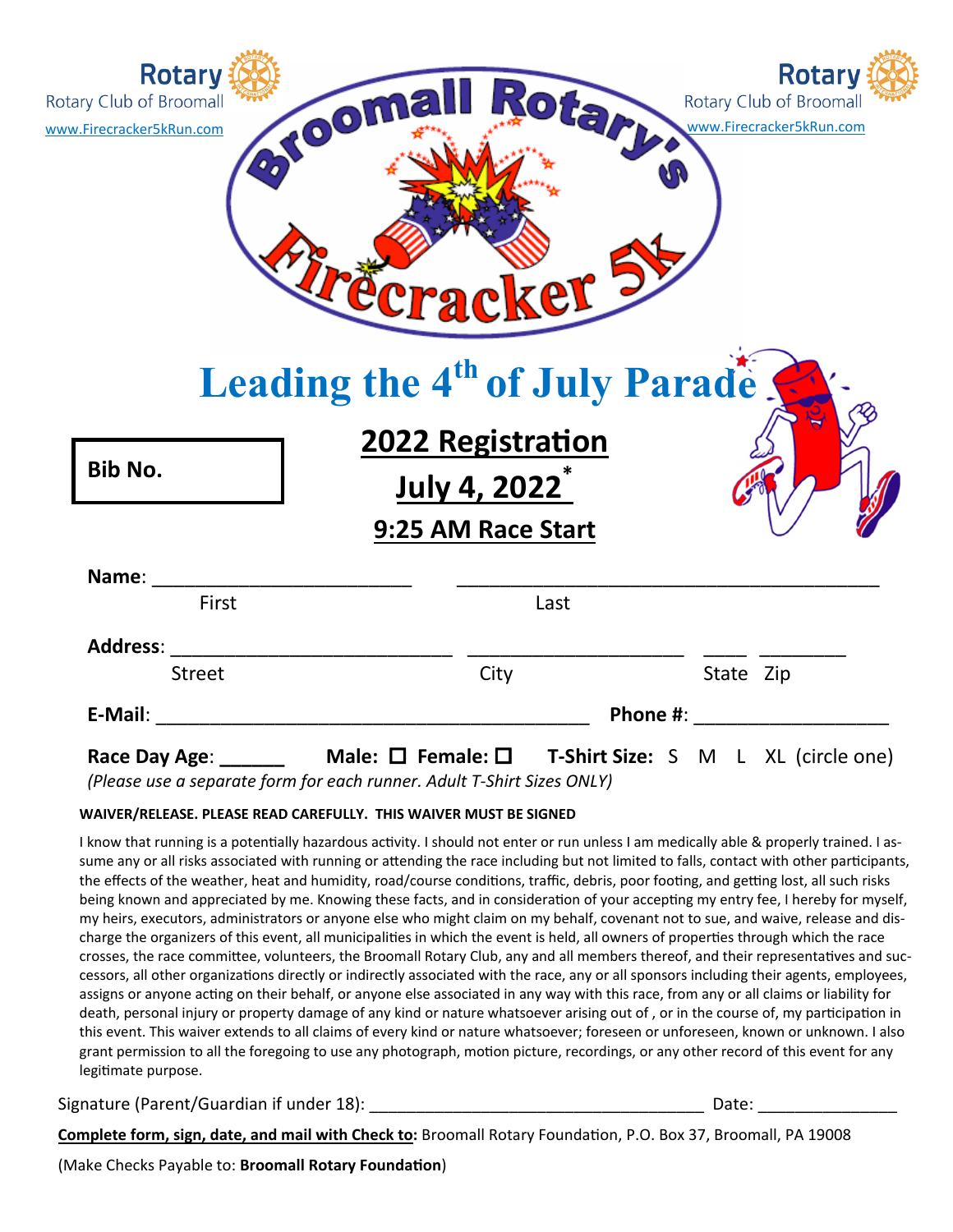| <b>Rotary</b><br>Rotary Club of Broomall<br>www.Firecracker5kRun.com | Rotari<br>Rotary Club of Broomall<br>www.Firecracker5kRun.com<br>eracker - | <b>Rotary</b> |
|----------------------------------------------------------------------|----------------------------------------------------------------------------|---------------|
|                                                                      | Leading the 4 <sup>th</sup> of July Parade S<br><b>2022 Registration</b>   |               |
| Bib No.                                                              | July 4, 2022 <sup>*</sup><br>9:25 AM Race Start                            |               |
| Name:                                                                |                                                                            |               |
| First                                                                | Last                                                                       |               |
| <b>Address:</b><br><b>Street</b>                                     | City<br>State Zip                                                          |               |

*(Please use a separate form for each runner. Adult T‐Shirt Sizes ONLY)* 

## **WAIVER/RELEASE. PLEASE READ CAREFULLY. THIS WAIVER MUST BE SIGNED**

I know that running is a potentially hazardous activity. I should not enter or run unless I am medically able & properly trained. I assume any or all risks associated with running or attending the race including but not limited to falls, contact with other participants, the effects of the weather, heat and humidity, road/course conditions, traffic, debris, poor footing, and getting lost, all such risks being known and appreciated by me. Knowing these facts, and in consideration of your accepting my entry fee, I hereby for myself, my heirs, executors, administrators or anyone else who might claim on my behalf, covenant not to sue, and waive, release and discharge the organizers of this event, all municipalities in which the event is held, all owners of properties through which the race crosses, the race committee, volunteers, the Broomall Rotary Club, any and all members thereof, and their representatives and successors, all other organizations directly or indirectly associated with the race, any or all sponsors including their agents, employees, assigns or anyone acting on their behalf, or anyone else associated in any way with this race, from any or all claims or liability for death, personal injury or property damage of any kind or nature whatsoever arising out of, or in the course of, my participation in this event. This waiver extends to all claims of every kind or nature whatsoever; foreseen or unforeseen, known or unknown. I also grant permission to all the foregoing to use any photograph, motion picture, recordings, or any other record of this event for any legitimate purpose.

Signature (Parent/Guardian if under 18):  $\qquad \qquad$  Date:  $\qquad \qquad$  Date:

**Complete form, sign, date, and mail with Check to:** Broomall Rotary FoundaƟon, P.O. Box 37, Broomall, PA 19008

(Make Checks Payable to: **Broomall Rotary Foundation**)